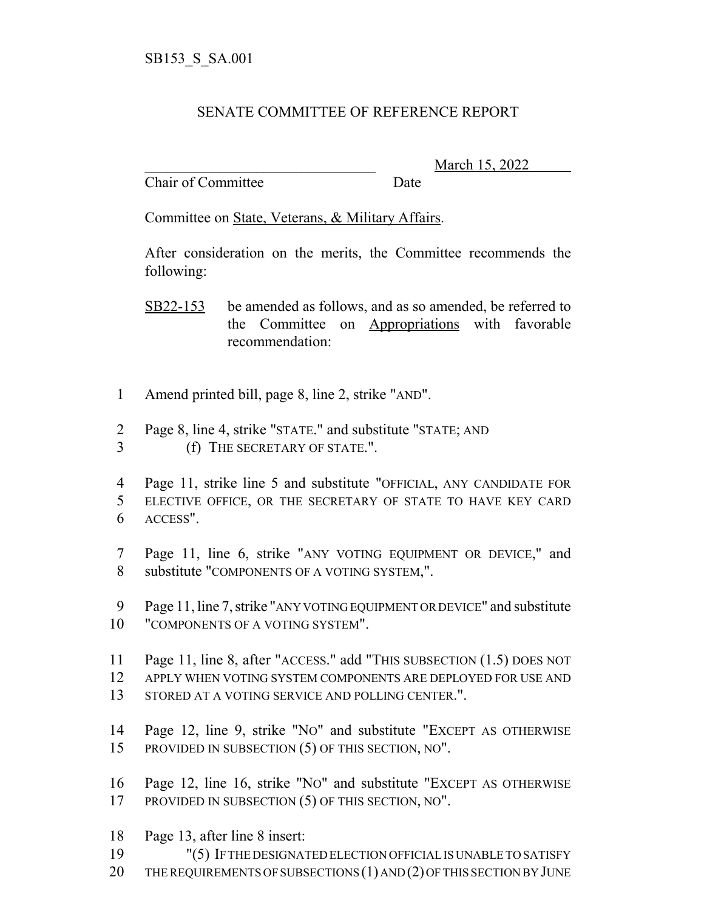## SENATE COMMITTEE OF REFERENCE REPORT

Chair of Committee Date

\_\_\_\_\_\_\_\_\_\_\_\_\_\_\_\_\_\_\_\_\_\_\_\_\_\_\_\_\_\_\_ March 15, 2022

Committee on State, Veterans, & Military Affairs.

After consideration on the merits, the Committee recommends the following:

SB22-153 be amended as follows, and as so amended, be referred to the Committee on Appropriations with favorable recommendation:

- 1 Amend printed bill, page 8, line 2, strike "AND".
- 2 Page 8, line 4, strike "STATE." and substitute "STATE; AND
- 3 (f) THE SECRETARY OF STATE.".
- 4 Page 11, strike line 5 and substitute "OFFICIAL, ANY CANDIDATE FOR 5 ELECTIVE OFFICE, OR THE SECRETARY OF STATE TO HAVE KEY CARD 6 ACCESS".
- 7 Page 11, line 6, strike "ANY VOTING EQUIPMENT OR DEVICE," and 8 substitute "COMPONENTS OF A VOTING SYSTEM,".
- 9 Page 11, line 7, strike "ANY VOTING EQUIPMENT OR DEVICE" and substitute 10 "COMPONENTS OF A VOTING SYSTEM".
- 11 Page 11, line 8, after "ACCESS." add "THIS SUBSECTION (1.5) DOES NOT
- 12 APPLY WHEN VOTING SYSTEM COMPONENTS ARE DEPLOYED FOR USE AND
- 13 STORED AT A VOTING SERVICE AND POLLING CENTER.".
- 14 Page 12, line 9, strike "NO" and substitute "EXCEPT AS OTHERWISE 15 PROVIDED IN SUBSECTION (5) OF THIS SECTION, NO".
- 16 Page 12, line 16, strike "NO" and substitute "EXCEPT AS OTHERWISE 17 PROVIDED IN SUBSECTION (5) OF THIS SECTION, NO".
- 18 Page 13, after line 8 insert:
- 19 "(5) IF THE DESIGNATED ELECTION OFFICIAL IS UNABLE TO SATISFY
- 20 THE REQUIREMENTS OF SUBSECTIONS (1) AND (2) OF THIS SECTION BY JUNE